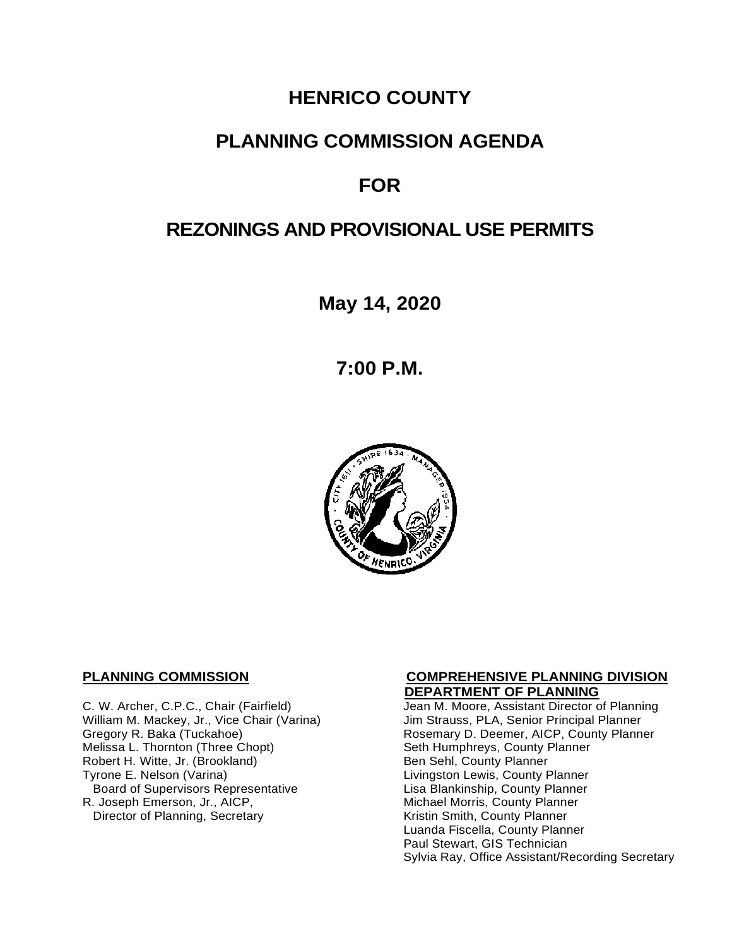# **HENRICO COUNTY**

## **PLANNING COMMISSION AGENDA**

# **FOR**

# **REZONINGS AND PROVISIONAL USE PERMITS**

**May 14, 2020**

**7:00 P.M.**



**C.** W. Archer, C.P.C., Chair (Fairfield) **DEPARTMENT OF PLANNING**<br>Jean M. Moore, Assistant Director o William M. Mackey, Jr., Vice Chair (Varina)<br>Gregory R. Baka (Tuckahoe) Melissa L. Thornton (Three Chopt) Seth Humphreys, County Planner<br>Robert H. Witte, Jr. (Brookland) Seth Sen Sehl, County Planner Robert H. Witte, Jr. (Brookland)<br>Tyrone E. Nelson (Varina) Board of Supervisors Representative<br>R. Joseph Emerson, Jr., AICP, Director of Planning, Secretary

# **PLANNING COMMISSION COMPREHENSIVE PLANNING DIVISION**

Jean M. Moore, Assistant Director of Planning<br>Jim Strauss, PLA, Senior Principal Planner Rosemary D. Deemer, AICP, County Planner Livingston Lewis, County Planner<br>Lisa Blankinship, County Planner Michael Morris, County Planner<br>Kristin Smith, County Planner Luanda Fiscella, County Planner Paul Stewart, GIS Technician Sylvia Ray, Office Assistant/Recording Secretary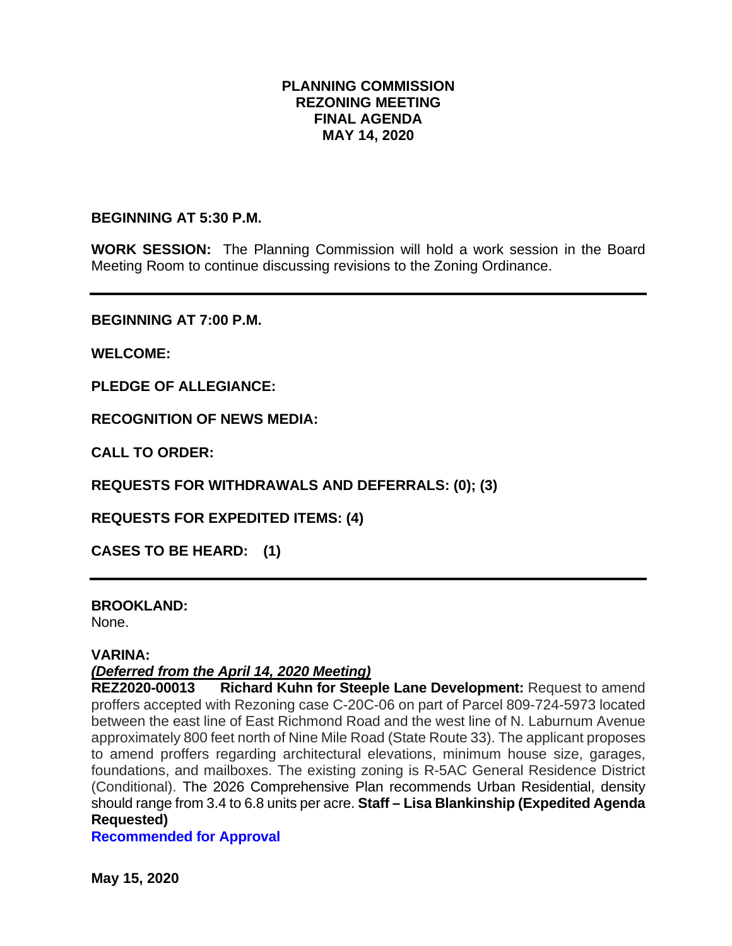### **PLANNING COMMISSION REZONING MEETING FINAL AGENDA MAY 14, 2020**

#### **BEGINNING AT 5:30 P.M.**

**WORK SESSION:** The Planning Commission will hold a work session in the Board Meeting Room to continue discussing revisions to the Zoning Ordinance.

**BEGINNING AT 7:00 P.M.**

**WELCOME:**

**PLEDGE OF ALLEGIANCE:**

**RECOGNITION OF NEWS MEDIA:**

**CALL TO ORDER:**

**REQUESTS FOR WITHDRAWALS AND DEFERRALS: (0); (3)**

**REQUESTS FOR EXPEDITED ITEMS: (4)**

**CASES TO BE HEARD: (1)**

**BROOKLAND:**

None.

#### **VARINA:**

### *(Deferred from the April 14, 2020 Meeting)*

**REZ2020-00013 Richard Kuhn for Steeple Lane Development:** Request to amend proffers accepted with Rezoning case C-20C-06 on part of Parcel 809-724-5973 located between the east line of East Richmond Road and the west line of N. Laburnum Avenue approximately 800 feet north of Nine Mile Road (State Route 33). The applicant proposes to amend proffers regarding architectural elevations, minimum house size, garages, foundations, and mailboxes. The existing zoning is R-5AC General Residence District (Conditional). The 2026 Comprehensive Plan recommends Urban Residential, density should range from 3.4 to 6.8 units per acre. **Staff – Lisa Blankinship (Expedited Agenda Requested)**

**Recommended for Approval**

**May 15, 2020**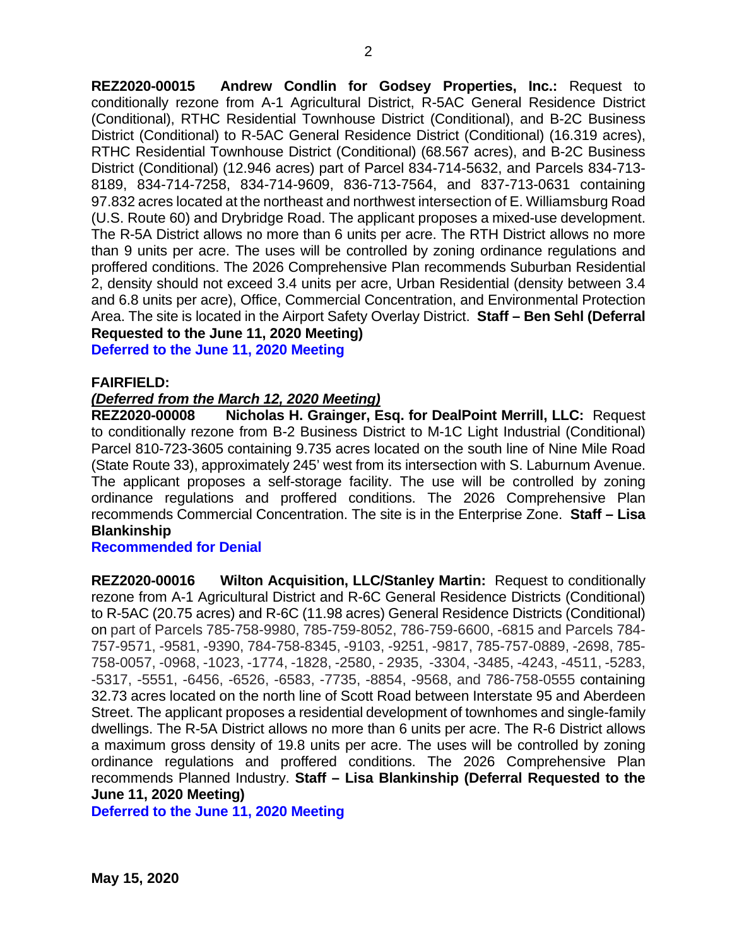**REZ2020-00015 Andrew Condlin for Godsey Properties, Inc.:** Request to conditionally rezone from A-1 Agricultural District, R-5AC General Residence District (Conditional), RTHC Residential Townhouse District (Conditional), and B-2C Business District (Conditional) to R-5AC General Residence District (Conditional) (16.319 acres), RTHC Residential Townhouse District (Conditional) (68.567 acres), and B-2C Business District (Conditional) (12.946 acres) part of Parcel 834-714-5632, and Parcels 834-713- 8189, 834-714-7258, 834-714-9609, 836-713-7564, and 837-713-0631 containing 97.832 acres located at the northeast and northwest intersection of E. Williamsburg Road (U.S. Route 60) and Drybridge Road. The applicant proposes a mixed-use development. The R-5A District allows no more than 6 units per acre. The RTH District allows no more than 9 units per acre. The uses will be controlled by zoning ordinance regulations and proffered conditions. The 2026 Comprehensive Plan recommends Suburban Residential 2, density should not exceed 3.4 units per acre, Urban Residential (density between 3.4 and 6.8 units per acre), Office, Commercial Concentration, and Environmental Protection Area. The site is located in the Airport Safety Overlay District. **Staff – Ben Sehl (Deferral Requested to the June 11, 2020 Meeting)**

**Deferred to the June 11, 2020 Meeting**

#### **FAIRFIELD:**

#### *(Deferred from the March 12, 2020 Meeting)*

**REZ2020-00008 Nicholas H. Grainger, Esq. for DealPoint Merrill, LLC:** Request to conditionally rezone from B-2 Business District to M-1C Light Industrial (Conditional) Parcel 810-723-3605 containing 9.735 acres located on the south line of Nine Mile Road (State Route 33), approximately 245' west from its intersection with S. Laburnum Avenue. The applicant proposes a self-storage facility. The use will be controlled by zoning ordinance regulations and proffered conditions. The 2026 Comprehensive Plan recommends Commercial Concentration. The site is in the Enterprise Zone. **Staff – Lisa Blankinship**

#### **Recommended for Denial**

**REZ2020-00016 Wilton Acquisition, LLC/Stanley Martin:** Request to conditionally rezone from A-1 Agricultural District and R-6C General Residence Districts (Conditional) to R-5AC (20.75 acres) and R-6C (11.98 acres) General Residence Districts (Conditional) on part of Parcels 785-758-9980, 785-759-8052, 786-759-6600, -6815 and Parcels 784- 757-9571, -9581, -9390, 784-758-8345, -9103, -9251, -9817, 785-757-0889, -2698, 785- 758-0057, -0968, -1023, -1774, -1828, -2580, - 2935, -3304, -3485, -4243, -4511, -5283, -5317, -5551, -6456, -6526, -6583, -7735, -8854, -9568, and 786-758-0555 containing 32.73 acres located on the north line of Scott Road between Interstate 95 and Aberdeen Street. The applicant proposes a residential development of townhomes and single-family dwellings. The R-5A District allows no more than 6 units per acre. The R-6 District allows a maximum gross density of 19.8 units per acre. The uses will be controlled by zoning ordinance regulations and proffered conditions. The 2026 Comprehensive Plan recommends Planned Industry. **Staff – Lisa Blankinship (Deferral Requested to the June 11, 2020 Meeting)**

**Deferred to the June 11, 2020 Meeting**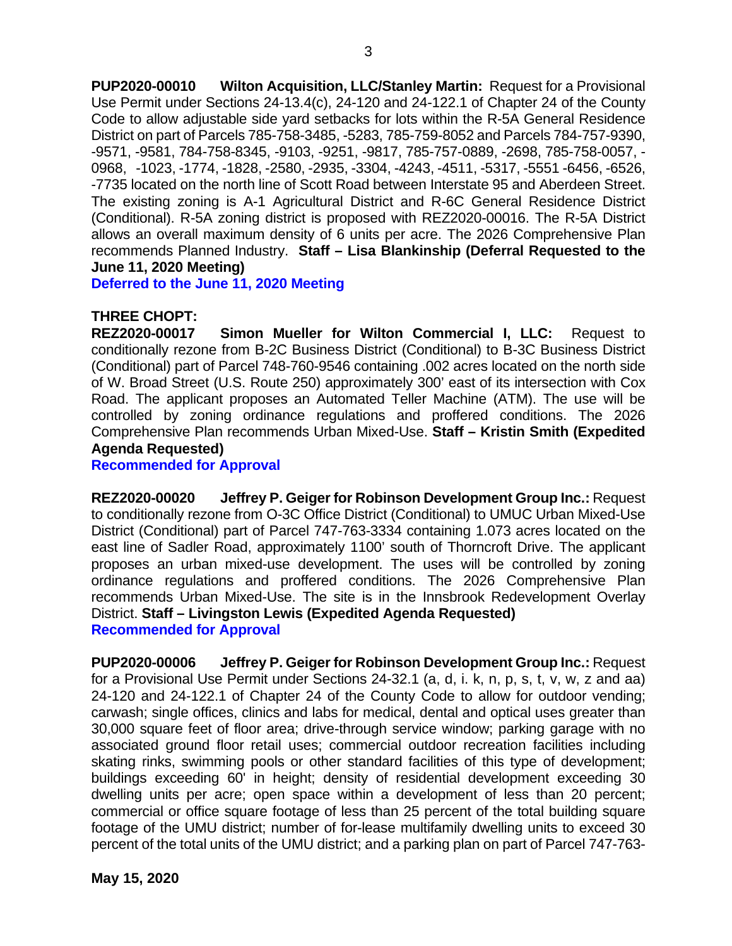**PUP2020-00010 Wilton Acquisition, LLC/Stanley Martin:** Request for a Provisional Use Permit under Sections 24-13.4(c), 24-120 and 24-122.1 of Chapter 24 of the County Code to allow adjustable side yard setbacks for lots within the R-5A General Residence District on part of Parcels 785-758-3485, -5283, 785-759-8052 and Parcels 784-757-9390, -9571, -9581, 784-758-8345, -9103, -9251, -9817, 785-757-0889, -2698, 785-758-0057, - 0968, -1023, -1774, -1828, -2580, -2935, -3304, -4243, -4511, -5317, -5551 -6456, -6526, -7735 located on the north line of Scott Road between Interstate 95 and Aberdeen Street. The existing zoning is A-1 Agricultural District and R-6C General Residence District (Conditional). R-5A zoning district is proposed with REZ2020-00016. The R-5A District allows an overall maximum density of 6 units per acre. The 2026 Comprehensive Plan recommends Planned Industry. **Staff – Lisa Blankinship (Deferral Requested to the June 11, 2020 Meeting)**

**Deferred to the June 11, 2020 Meeting**

#### **THREE CHOPT:**

**REZ2020-00017 Simon Mueller for Wilton Commercial I, LLC:** Request to conditionally rezone from B-2C Business District (Conditional) to B-3C Business District (Conditional) part of Parcel 748-760-9546 containing .002 acres located on the north side of W. Broad Street (U.S. Route 250) approximately 300' east of its intersection with Cox Road. The applicant proposes an Automated Teller Machine (ATM). The use will be controlled by zoning ordinance regulations and proffered conditions. The 2026 Comprehensive Plan recommends Urban Mixed-Use. **Staff – Kristin Smith (Expedited Agenda Requested)**

**Recommended for Approval**

**REZ2020-00020 Jeffrey P. Geiger for Robinson Development Group Inc.:** Request to conditionally rezone from O-3C Office District (Conditional) to UMUC Urban Mixed-Use District (Conditional) part of Parcel 747-763-3334 containing 1.073 acres located on the east line of Sadler Road, approximately 1100' south of Thorncroft Drive. The applicant proposes an urban mixed-use development. The uses will be controlled by zoning ordinance regulations and proffered conditions. The 2026 Comprehensive Plan recommends Urban Mixed-Use. The site is in the Innsbrook Redevelopment Overlay District. **Staff – Livingston Lewis (Expedited Agenda Requested) Recommended for Approval**

**PUP2020-00006 Jeffrey P. Geiger for Robinson Development Group Inc.:** Request for a Provisional Use Permit under Sections 24-32.1 (a, d, i. k, n, p, s, t, v, w, z and aa) 24-120 and 24-122.1 of Chapter 24 of the County Code to allow for outdoor vending; carwash; single offices, clinics and labs for medical, dental and optical uses greater than 30,000 square feet of floor area; drive-through service window; parking garage with no associated ground floor retail uses; commercial outdoor recreation facilities including skating rinks, swimming pools or other standard facilities of this type of development; buildings exceeding 60' in height; density of residential development exceeding 30 dwelling units per acre; open space within a development of less than 20 percent; commercial or office square footage of less than 25 percent of the total building square footage of the UMU district; number of for-lease multifamily dwelling units to exceed 30 percent of the total units of the UMU district; and a parking plan on part of Parcel 747-763